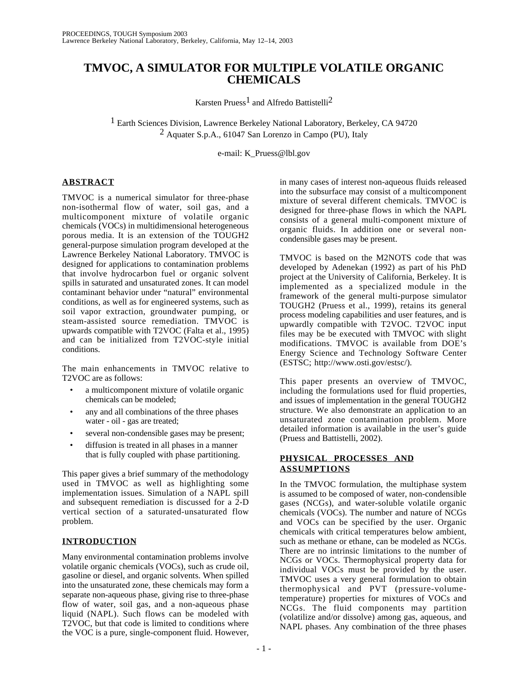# **TMVOC, A SIMULATOR FOR MULTIPLE VOLATILE ORGANIC CHEMICALS**

Karsten Pruess<sup>1</sup> and Alfredo Battistelli<sup>2</sup>

<sup>1</sup> Earth Sciences Division, Lawrence Berkeley National Laboratory, Berkeley, CA 94720 2 Aquater S.p.A., 61047 San Lorenzo in Campo (PU), Italy

e-mail: K\_Pruess@lbl.gov

# **ABSTRACT**

TMVOC is a numerical simulator for three-phase non-isothermal flow of water, soil gas, and a multicomponent mixture of volatile organic chemicals (VOCs) in multidimensional heterogeneous porous media. It is an extension of the TOUGH2 general-purpose simulation program developed at the Lawrence Berkeley National Laboratory. TMVOC is designed for applications to contamination problems that involve hydrocarbon fuel or organic solvent spills in saturated and unsaturated zones. It can model contaminant behavior under "natural" environmental conditions, as well as for engineered systems, such as soil vapor extraction, groundwater pumping, or steam-assisted source remediation. TMVOC is upwards compatible with T2VOC (Falta et al., 1995) and can be initialized from T2VOC-style initial conditions.

The main enhancements in TMVOC relative to T2VOC are as follows:

- a multicomponent mixture of volatile organic chemicals can be modeled;
- any and all combinations of the three phases water - oil - gas are treated;
- several non-condensible gases may be present;
- diffusion is treated in all phases in a manner that is fully coupled with phase partitioning.

This paper gives a brief summary of the methodology used in TMVOC as well as highlighting some implementation issues. Simulation of a NAPL spill and subsequent remediation is discussed for a 2-D vertical section of a saturated-unsaturated flow problem.

# **INTRODUCTION**

Many environmental contamination problems involve volatile organic chemicals (VOCs), such as crude oil, gasoline or diesel, and organic solvents. When spilled into the unsaturated zone, these chemicals may form a separate non-aqueous phase, giving rise to three-phase flow of water, soil gas, and a non-aqueous phase liquid (NAPL). Such flows can be modeled with T2VOC, but that code is limited to conditions where the VOC is a pure, single-component fluid. However,

in many cases of interest non-aqueous fluids released into the subsurface may consist of a multicomponent mixture of several different chemicals. TMVOC is designed for three-phase flows in which the NAPL consists of a general multi-component mixture of organic fluids. In addition one or several noncondensible gases may be present.

TMVOC is based on the M2NOTS code that was developed by Adenekan (1992) as part of his PhD project at the University of California, Berkeley. It is implemented as a specialized module in the framework of the general multi-purpose simulator TOUGH2 (Pruess et al., 1999), retains its general process modeling capabilities and user features, and is upwardly compatible with T2VOC. T2VOC input files may be be executed with TMVOC with slight modifications. TMVOC is available from DOE's Energy Science and Technology Software Center (ESTSC; http://www.osti.gov/estsc/).

This paper presents an overview of TMVOC, including the formulations used for fluid properties, and issues of implementation in the general TOUGH2 structure. We also demonstrate an application to an unsaturated zone contamination problem. More detailed information is available in the user's guide (Pruess and Battistelli, 2002).

# **PHYSICAL PROCESSES AND ASSUMPTIONS**

In the TMVOC formulation, the multiphase system is assumed to be composed of water, non-condensible gases (NCGs), and water-soluble volatile organic chemicals (VOCs). The number and nature of NCGs and VOCs can be specified by the user. Organic chemicals with critical temperatures below ambient, such as methane or ethane, can be modeled as NCGs. There are no intrinsic limitations to the number of NCGs or VOCs. Thermophysical property data for individual VOCs must be provided by the user. TMVOC uses a very general formulation to obtain thermophysical and PVT (pressure-volumetemperature) properties for mixtures of VOCs and NCGs. The fluid components may partition (volatilize and/or dissolve) among gas, aqueous, and NAPL phases. Any combination of the three phases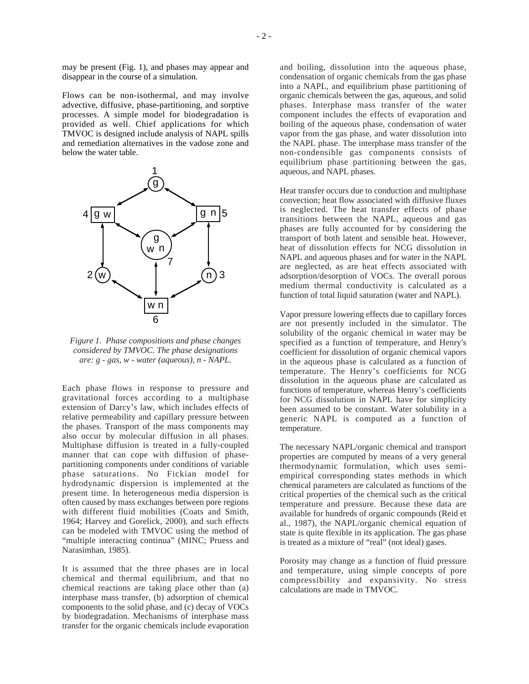may be present (Fig. 1), and phases may appear and disappear in the course of a simulation.

Flows can be non-isothermal, and may involve advective, diffusive, phase-partitioning, and sorptive processes. A simple model for biodegradation is provided as well. Chief applications for which TMVOC is designed include analysis of NAPL spills and remediation alternatives in the vadose zone and below the water table.



*Figure 1. Phase compositions and phase changes considered by TMVOC. The phase designations are: g - gas, w - water (aqueous), n - NAPL.*

Each phase flows in response to pressure and gravitational forces according to a multiphase extension of Darcy's law, which includes effects of relative permeability and capillary pressure between the phases. Transport of the mass components may also occur by molecular diffusion in all phases. Multiphase diffusion is treated in a fully-coupled manner that can cope with diffusion of phasepartitioning components under conditions of variable phase saturations. No Fickian model for hydrodynamic dispersion is implemented at the present time. In heterogeneous media dispersion is often caused by mass exchanges between pore regions with different fluid mobilities (Coats and Smith, 1964; Harvey and Gorelick, 2000), and such effects can be modeled with TMVOC using the method of "multiple interacting continua" (MINC; Pruess and Narasimhan, 1985).

It is assumed that the three phases are in local chemical and thermal equilibrium, and that no chemical reactions are taking place other than (a) interphase mass transfer, (b) adsorption of chemical components to the solid phase, and (c) decay of VOCs by biodegradation. Mechanisms of interphase mass transfer for the organic chemicals include evaporation

and boiling, dissolution into the aqueous phase, condensation of organic chemicals from the gas phase into a NAPL, and equilibrium phase partitioning of organic chemicals between the gas, aqueous, and solid phases. Interphase mass transfer of the water component includes the effects of evaporation and boiling of the aqueous phase, condensation of water vapor from the gas phase, and water dissolution into the NAPL phase. The interphase mass transfer of the non-condensible gas components consists of equilibrium phase partitioning between the gas, aqueous, and NAPL phases.

Heat transfer occurs due to conduction and multiphase convection; heat flow associated with diffusive fluxes is neglected. The heat transfer effects of phase transitions between the NAPL, aqueous and gas phases are fully accounted for by considering the transport of both latent and sensible heat. However, heat of dissolution effects for NCG dissolution in NAPL and aqueous phases and for water in the NAPL are neglected, as are heat effects associated with adsorption/desorption of VOCs. The overall porous medium thermal conductivity is calculated as a function of total liquid saturation (water and NAPL).

Vapor pressure lowering effects due to capillary forces are not presently included in the simulator. The solubility of the organic chemical in water may be specified as a function of temperature, and Henry's coefficient for dissolution of organic chemical vapors in the aqueous phase is calculated as a function of temperature. The Henry's coefficients for NCG dissolution in the aqueous phase are calculated as functions of temperature, whereas Henry's coefficients for NCG dissolution in NAPL have for simplicity been assumed to be constant. Water solubility in a generic NAPL is computed as a function of temperature.

The necessary NAPL/organic chemical and transport properties are computed by means of a very general thermodynamic formulation, which uses semiempirical corresponding states methods in which chemical parameters are calculated as functions of the critical properties of the chemical such as the critical temperature and pressure. Because these data are available for hundreds of organic compounds (Reid et al., 1987), the NAPL/organic chemical equation of state is quite flexible in its application. The gas phase is treated as a mixture of "real" (not ideal) gases.

Porosity may change as a function of fluid pressure and temperature, using simple concepts of pore compressibility and expansivity. No stress calculations are made in TMVOC.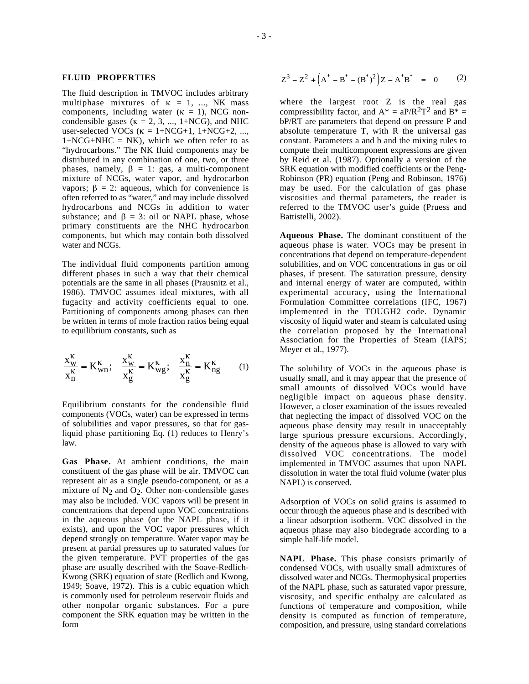#### **FLUID PROPERTIES**

The fluid description in TMVOC includes arbitrary multiphase mixtures of  $\kappa = 1, \dots, NK$  mass components, including water  $(\kappa = 1)$ , NCG noncondensible gases ( $\kappa = 2, 3, ..., 1+NCG$ ), and NHC user-selected VOCs ( $\kappa = 1 + NCG+1$ ,  $1 + NCG+2$ , ...,  $1+NCG+NHC = NK$ , which we often refer to as "hydrocarbons." The NK fluid components may be distributed in any combination of one, two, or three phases, namely,  $\beta = 1$ : gas, a multi-component mixture of NCGs, water vapor, and hydrocarbon vapors;  $β = 2$ : aqueous, which for convenience is often referred to as "water," and may include dissolved hydrocarbons and NCGs in addition to water substance; and  $\beta = 3$ : oil or NAPL phase, whose primary constituents are the NHC hydrocarbon components, but which may contain both dissolved water and NCGs.

The individual fluid components partition among different phases in such a way that their chemical potentials are the same in all phases (Prausnitz et al., 1986). TMVOC assumes ideal mixtures, with all fugacity and activity coefficients equal to one. Partitioning of components among phases can then be written in terms of mole fraction ratios being equal to equilibrium constants, such as

$$
\frac{x_{w}^{K}}{x_{n}^{K}} = K_{wn}^{K}; \quad \frac{x_{w}^{K}}{x_{g}^{K}} = K_{wg}^{K}; \quad \frac{x_{n}^{K}}{x_{g}^{K}} = K_{ng}^{K}
$$
 (1)

Equilibrium constants for the condensible fluid components (VOCs, water) can be expressed in terms of solubilities and vapor pressures, so that for gasliquid phase partitioning Eq. (1) reduces to Henry's law.

**Gas Phase.** At ambient conditions, the main constituent of the gas phase will be air. TMVOC can represent air as a single pseudo-component, or as a mixture of  $N_2$  and  $O_2$ . Other non-condensible gases may also be included. VOC vapors will be present in concentrations that depend upon VOC concentrations in the aqueous phase (or the NAPL phase, if it exists), and upon the VOC vapor pressures which depend strongly on temperature. Water vapor may be present at partial pressures up to saturated values for the given temperature. PVT properties of the gas phase are usually described with the Soave-Redlich-Kwong (SRK) equation of state (Redlich and Kwong, 1949; Soave, 1972). This is a cubic equation which is commonly used for petroleum reservoir fluids and other nonpolar organic substances. For a pure component the SRK equation may be written in the form

$$
Z^3 - Z^2 + (A^* - B^* - (B^*)^2)Z - A^* B^* = 0
$$
 (2)

where the largest root Z is the real gas compressibility factor, and  $A^* = aP/R^2T^2$  and  $B^* =$ bP/RT are parameters that depend on pressure P and absolute temperature T, with R the universal gas constant. Parameters a and b and the mixing rules to compute their multicomponent expressions are given by Reid et al. (1987). Optionally a version of the SRK equation with modified coefficients or the Peng-Robinson (PR) equation (Peng and Robinson, 1976) may be used. For the calculation of gas phase viscosities and thermal parameters, the reader is referred to the TMVOC user's guide (Pruess and Battistelli, 2002).

**Aqueous Phase.** The dominant constituent of the aqueous phase is water. VOCs may be present in concentrations that depend on temperature-dependent solubilities, and on VOC concentrations in gas or oil phases, if present. The saturation pressure, density and internal energy of water are computed, within experimental accuracy, using the International Formulation Committee correlations (IFC, 1967) implemented in the TOUGH2 code. Dynamic viscosity of liquid water and steam is calculated using the correlation proposed by the International Association for the Properties of Steam (IAPS; Meyer et al., 1977).

The solubility of VOCs in the aqueous phase is usually small, and it may appear that the presence of small amounts of dissolved VOCs would have negligible impact on aqueous phase density. However, a closer examination of the issues revealed that neglecting the impact of dissolved VOC on the aqueous phase density may result in unacceptably large spurious pressure excursions. Accordingly, density of the aqueous phase is allowed to vary with dissolved VOC concentrations. The model implemented in TMVOC assumes that upon NAPL dissolution in water the total fluid volume (water plus NAPL) is conserved.

Adsorption of VOCs on solid grains is assumed to occur through the aqueous phase and is described with a linear adsorption isotherm. VOC dissolved in the aqueous phase may also biodegrade according to a simple half-life model.

**NAPL Phase.** This phase consists primarily of condensed VOCs, with usually small admixtures of dissolved water and NCGs. Thermophysical properties of the NAPL phase, such as saturated vapor pressure, viscosity, and specific enthalpy are calculated as functions of temperature and composition, while density is computed as function of temperature, composition, and pressure, using standard correlations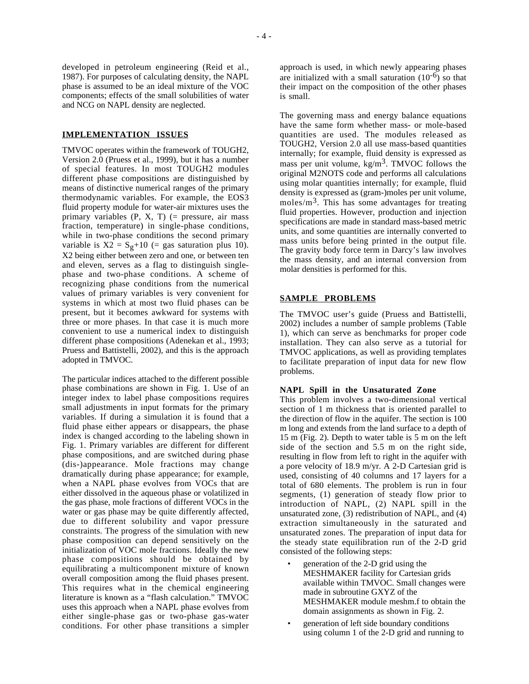developed in petroleum engineering (Reid et al., 1987). For purposes of calculating density, the NAPL phase is assumed to be an ideal mixture of the VOC components; effects of the small solubilities of water and NCG on NAPL density are neglected.

### **IMPLEMENTATION ISSUES**

TMVOC operates within the framework of TOUGH2, Version 2.0 (Pruess et al., 1999), but it has a number of special features. In most TOUGH2 modules different phase compositions are distinguished by means of distinctive numerical ranges of the primary thermodynamic variables. For example, the EOS3 fluid property module for water-air mixtures uses the primary variables  $(P, X, T)$  (= pressure, air mass fraction, temperature) in single-phase conditions, while in two-phase conditions the second primary variable is  $X2 = S_g + 10$  (= gas saturation plus 10). X2 being either between zero and one, or between ten and eleven, serves as a flag to distinguish singlephase and two-phase conditions. A scheme of recognizing phase conditions from the numerical values of primary variables is very convenient for systems in which at most two fluid phases can be present, but it becomes awkward for systems with three or more phases. In that case it is much more convenient to use a numerical index to distinguish different phase compositions (Adenekan et al., 1993; Pruess and Battistelli, 2002), and this is the approach adopted in TMVOC.

The particular indices attached to the different possible phase combinations are shown in Fig. 1. Use of an integer index to label phase compositions requires small adjustments in input formats for the primary variables. If during a simulation it is found that a fluid phase either appears or disappears, the phase index is changed according to the labeling shown in Fig. 1. Primary variables are different for different phase compositions, and are switched during phase (dis-)appearance. Mole fractions may change dramatically during phase appearance; for example, when a NAPL phase evolves from VOCs that are either dissolved in the aqueous phase or volatilized in the gas phase, mole fractions of different VOCs in the water or gas phase may be quite differently affected, due to different solubility and vapor pressure constraints. The progress of the simulation with new phase composition can depend sensitively on the initialization of VOC mole fractions. Ideally the new phase compositions should be obtained by equilibrating a multicomponent mixture of known overall composition among the fluid phases present. This requires what in the chemical engineering literature is known as a "flash calculation." TMVOC uses this approach when a NAPL phase evolves from either single-phase gas or two-phase gas-water conditions. For other phase transitions a simpler

approach is used, in which newly appearing phases are initialized with a small saturation  $(10^{-6})$  so that their impact on the composition of the other phases is small.

The governing mass and energy balance equations have the same form whether mass- or mole-based quantities are used. The modules released as TOUGH2, Version 2.0 all use mass-based quantities internally; for example, fluid density is expressed as mass per unit volume,  $kg/m<sup>3</sup>$ . TMVOC follows the original M2NOTS code and performs all calculations using molar quantities internally; for example, fluid density is expressed as (gram-)moles per unit volume, moles/ $m<sup>3</sup>$ . This has some advantages for treating fluid properties. However, production and injection specifications are made in standard mass-based metric units, and some quantities are internally converted to mass units before being printed in the output file. The gravity body force term in Darcy's law involves the mass density, and an internal conversion from molar densities is performed for this.

### **SAMPLE PROBLEMS**

The TMVOC user's guide (Pruess and Battistelli, 2002) includes a number of sample problems (Table 1), which can serve as benchmarks for proper code installation. They can also serve as a tutorial for TMVOC applications, as well as providing templates to facilitate preparation of input data for new flow problems.

### **NAPL Spill in the Unsaturated Zone**

This problem involves a two-dimensional vertical section of 1 m thickness that is oriented parallel to the direction of flow in the aquifer. The section is 100 m long and extends from the land surface to a depth of 15 m (Fig. 2). Depth to water table is 5 m on the left side of the section and 5.5 m on the right side, resulting in flow from left to right in the aquifer with a pore velocity of 18.9 m/yr. A 2-D Cartesian grid is used, consisting of 40 columns and 17 layers for a total of 680 elements. The problem is run in four segments, (1) generation of steady flow prior to introduction of NAPL, (2) NAPL spill in the unsaturated zone, (3) redistribution of NAPL, and (4) extraction simultaneously in the saturated and unsaturated zones. The preparation of input data for the steady state equilibration run of the 2-D grid consisted of the following steps:

- generation of the 2-D grid using the MESHMAKER facility for Cartesian grids available within TMVOC. Small changes were made in subroutine GXYZ of the MESHMAKER module meshm.f to obtain the domain assignments as shown in Fig. 2.
- generation of left side boundary conditions using column 1 of the 2-D grid and running to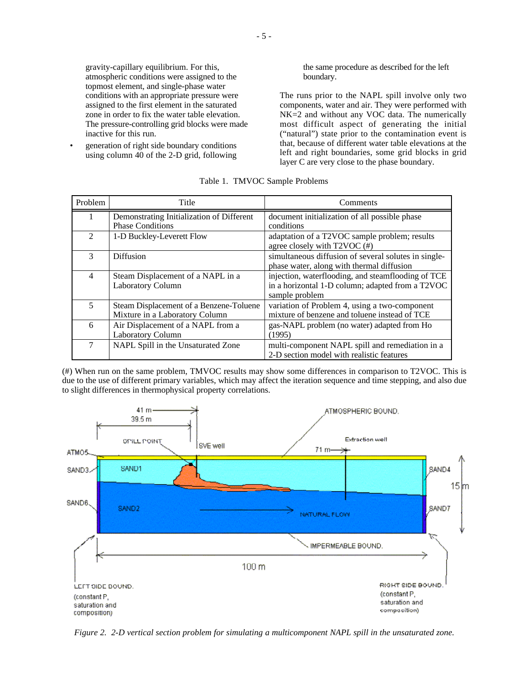gravity-capillary equilibrium. For this, atmospheric conditions were assigned to the topmost element, and single-phase water conditions with an appropriate pressure were assigned to the first element in the saturated zone in order to fix the water table elevation. The pressure-controlling grid blocks were made inactive for this run.

• generation of right side boundary conditions using column 40 of the 2-D grid, following

the same procedure as described for the left boundary.

The runs prior to the NAPL spill involve only two components, water and air. They were performed with NK=2 and without any VOC data. The numerically most difficult aspect of generating the initial ("natural") state prior to the contamination event is that, because of different water table elevations at the left and right boundaries, some grid blocks in grid layer C are very close to the phase boundary.

| Problem                     | Title                                     | Comments                                             |  |
|-----------------------------|-------------------------------------------|------------------------------------------------------|--|
|                             | Demonstrating Initialization of Different | document initialization of all possible phase        |  |
|                             | <b>Phase Conditions</b>                   | conditions                                           |  |
| $\mathcal{D}_{\mathcal{L}}$ | 1-D Buckley-Leverett Flow                 | adaptation of a T2VOC sample problem; results        |  |
|                             |                                           | agree closely with T2VOC (#)                         |  |
| $\mathcal{R}$               | Diffusion                                 | simultaneous diffusion of several solutes in single- |  |
|                             |                                           | phase water, along with thermal diffusion            |  |
| $\overline{4}$              | Steam Displacement of a NAPL in a         | injection, waterflooding, and steamflooding of TCE   |  |
|                             | <b>Laboratory Column</b>                  | in a horizontal 1-D column; adapted from a T2VOC     |  |
|                             |                                           | sample problem                                       |  |
| 5                           | Steam Displacement of a Benzene-Toluene   | variation of Problem 4, using a two-component        |  |
|                             | Mixture in a Laboratory Column            | mixture of benzene and toluene instead of TCE        |  |
| 6                           | Air Displacement of a NAPL from a         | gas-NAPL problem (no water) adapted from Ho          |  |
|                             | <b>Laboratory Column</b>                  | (1995)                                               |  |
| 7                           | NAPL Spill in the Unsaturated Zone        | multi-component NAPL spill and remediation in a      |  |
|                             |                                           | 2-D section model with realistic features            |  |

|  | Table 1. TMVOC Sample Problems |  |  |
|--|--------------------------------|--|--|
|--|--------------------------------|--|--|

(#) When run on the same problem, TMVOC results may show some differences in comparison to T2VOC. This is due to the use of different primary variables, which may affect the iteration sequence and time stepping, and also due to slight differences in thermophysical property correlations.



*Figure 2. 2-D vertical section problem for simulating a multicomponent NAPL spill in the unsaturated zone.*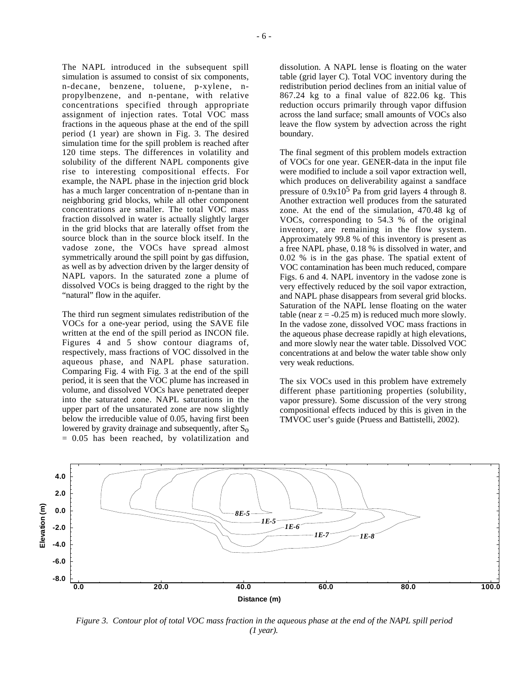The NAPL introduced in the subsequent spill simulation is assumed to consist of six components, n-decane, benzene, toluene, p-xylene, npropylbenzene, and n-pentane, with relative concentrations specified through appropriate assignment of injection rates. Total VOC mass fractions in the aqueous phase at the end of the spill period (1 year) are shown in Fig. 3. The desired simulation time for the spill problem is reached after 120 time steps. The differences in volatility and solubility of the different NAPL components give rise to interesting compositional effects. For example, the NAPL phase in the injection grid block has a much larger concentration of n-pentane than in neighboring grid blocks, while all other component concentrations are smaller. The total VOC mass fraction dissolved in water is actually slightly larger in the grid blocks that are laterally offset from the source block than in the source block itself. In the vadose zone, the VOCs have spread almost symmetrically around the spill point by gas diffusion, as well as by advection driven by the larger density of NAPL vapors. In the saturated zone a plume of dissolved VOCs is being dragged to the right by the "natural" flow in the aquifer.

The third run segment simulates redistribution of the VOCs for a one-year period, using the SAVE file written at the end of the spill period as INCON file. Figures 4 and 5 show contour diagrams of, respectively, mass fractions of VOC dissolved in the aqueous phase, and NAPL phase saturation. Comparing Fig. 4 with Fig. 3 at the end of the spill period, it is seen that the VOC plume has increased in volume, and dissolved VOCs have penetrated deeper into the saturated zone. NAPL saturations in the upper part of the unsaturated zone are now slightly below the irreducible value of 0.05, having first been lowered by gravity drainage and subsequently, after  $S_0$  $= 0.05$  has been reached, by volatilization and

dissolution. A NAPL lense is floating on the water table (grid layer C). Total VOC inventory during the redistribution period declines from an initial value of 867.24 kg to a final value of 822.06 kg. This reduction occurs primarily through vapor diffusion across the land surface; small amounts of VOCs also leave the flow system by advection across the right boundary.

The final segment of this problem models extraction of VOCs for one year. GENER-data in the input file were modified to include a soil vapor extraction well, which produces on deliverability against a sandface pressure of  $0.9x10^5$  Pa from grid layers 4 through 8. Another extraction well produces from the saturated zone. At the end of the simulation, 470.48 kg of VOCs, corresponding to 54.3 % of the original inventory, are remaining in the flow system. Approximately 99.8 % of this inventory is present as a free NAPL phase, 0.18 % is dissolved in water, and 0.02 % is in the gas phase. The spatial extent of VOC contamination has been much reduced, compare Figs. 6 and 4. NAPL inventory in the vadose zone is very effectively reduced by the soil vapor extraction, and NAPL phase disappears from several grid blocks. Saturation of the NAPL lense floating on the water table (near  $z = -0.25$  m) is reduced much more slowly. In the vadose zone, dissolved VOC mass fractions in the aqueous phase decrease rapidly at high elevations, and more slowly near the water table. Dissolved VOC concentrations at and below the water table show only very weak reductions.

The six VOCs used in this problem have extremely different phase partitioning properties (solubility, vapor pressure). Some discussion of the very strong compositional effects induced by this is given in the TMVOC user's guide (Pruess and Battistelli, 2002).



*Figure 3. Contour plot of total VOC mass fraction in the aqueous phase at the end of the NAPL spill period (1 year).*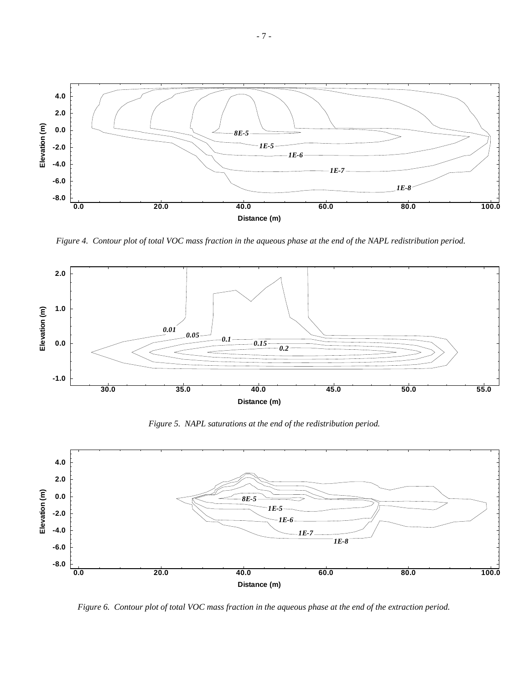

*Figure 4. Contour plot of total VOC mass fraction in the aqueous phase at the end of the NAPL redistribution period.*



*Figure 5. NAPL saturations at the end of the redistribution period.*



*Figure 6. Contour plot of total VOC mass fraction in the aqueous phase at the end of the extraction period.*